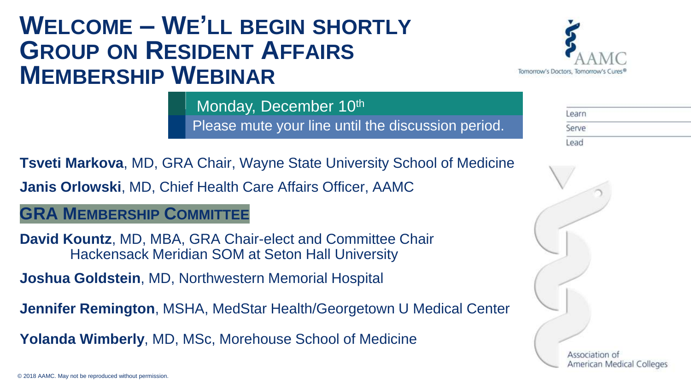## **WELCOME – WE'LL BEGIN SHORTLY GROUP ON RESIDENT AFFAIRS MEMBERSHIP WEBINAR**



Learn Please mute your line until the discussion period. Serve

**Tsveti Markova**, MD, GRA Chair, Wayne State University School of Medicine **Janis Orlowski**, MD, Chief Health Care Affairs Officer, AAMC

Monday, December 10th

## **GRA MEMBERSHIP COMMITTEE**

**David Kountz**, MD, MBA, GRA Chair-elect and Committee Chair Hackensack Meridian SOM at Seton Hall University

**Joshua Goldstein**, MD, Northwestern Memorial Hospital

**Jennifer Remington**, MSHA, MedStar Health/Georgetown U Medical Center

**Yolanda Wimberly**, MD, MSc, Morehouse School of Medicine

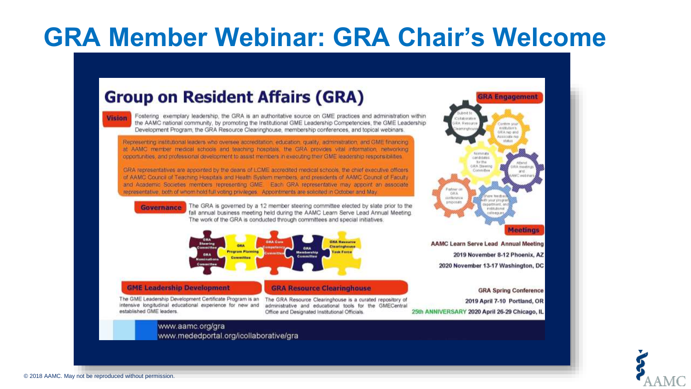# **GRA Member Webinar: GRA Chair's Welcome**

## **Group on Resident Affairs (GRA)**

| ________                                                                                                                                                                                                                                                                                                                              |  |
|---------------------------------------------------------------------------------------------------------------------------------------------------------------------------------------------------------------------------------------------------------------------------------------------------------------------------------------|--|
|                                                                                                                                                                                                                                                                                                                                       |  |
| $\mathcal{L}^{\text{max}}_{\text{max}}$ and $\mathcal{L}^{\text{max}}_{\text{max}}$ and $\mathcal{L}^{\text{max}}_{\text{max}}$ and $\mathcal{L}^{\text{max}}_{\text{max}}$<br>$\mathcal{L}(\mathcal{L})$ and $\mathcal{L}(\mathcal{L})$ and $\mathcal{L}(\mathcal{L})$ and $\mathcal{L}(\mathcal{L})$ and $\mathcal{L}(\mathcal{L})$ |  |

Fostering exemplary leadership, the GRA is an authoritative source on GME practices and administration within the AAMC national community, by promoting the Institutional GME Leadership Competencies, the GME Leadership Development Program, the GRA Resource Clearinghouse, membership conferences, and topical webinars.

Representing institutional leaders who oversee appreditation, education, quality, administration, and GME financing. at AAMC member medical schools and teaching hospitals, the GRA provides vital information, networking opportunities, and professional development to assist members in executing their GME leadership responsibilities

GRA representatives are appointed by the deans of LCME accredited medical schools, the chief executive officers. of AAMC Council of Teaching Hospitals and Health System members, and presidents of AAMC Council of Faculty and Academic Societies members representing GME. Each GRA representative may appoint an associate representative, both of whom hold full volting privileges. Appointments are solicited in October and May.



Governance The GRA is governed by a 12 member steering committee elected by slate prior to the fall annual business meeting held during the AAMC Learn Serve Lead Annual Meeting. The work of the GRA is conducted through committees and special initiatives.



#### **GME Leadership Development**

The GME Leadership Development Certificate Program is an intensive longitudinal educational experience for new and established GME leaders.

The GRA Resource Clearinghouse is a curated repository of administrative and educational tools for the GMECentral Office and Designated Institutional Officials.

**GRA Resource Clearinghouse** 



2020 November 13-17 Washington, DC

**GRA Spring Conference** 2019 April 7-10 Portland, OR 25th ANNIVERSARY 2020 April 26-29 Chicago, IL

www.aamc.org/gra www.mededportal.org/icollaborative/gra

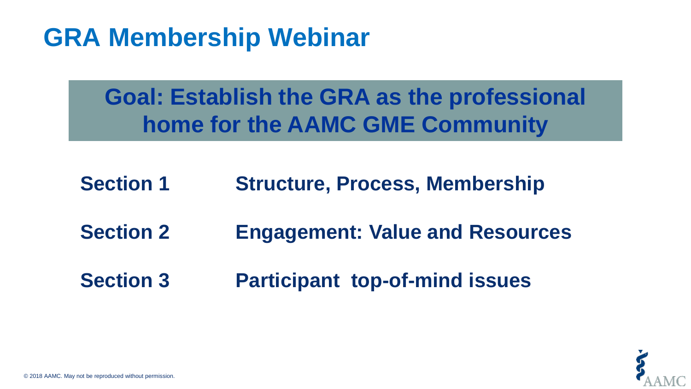# **GRA Membership Webinar**

**Goal: Establish the GRA as the professional home for the AAMC GME Community**

- **Section 1 Structure, Process, Membership**
- **Section 2 Engagement: Value and Resources**
- **Section 3 Participant top-of-mind issues**

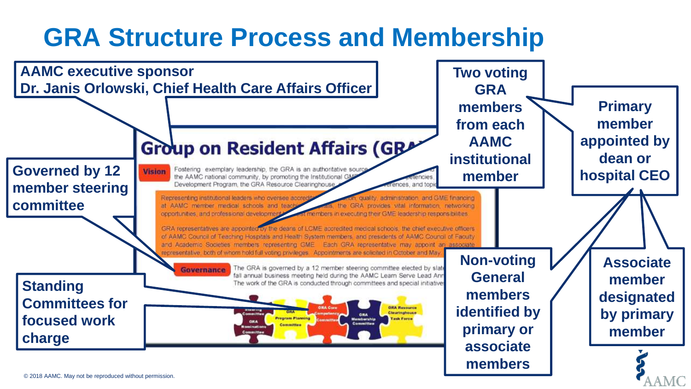# **GRA Structure Process and Membership**

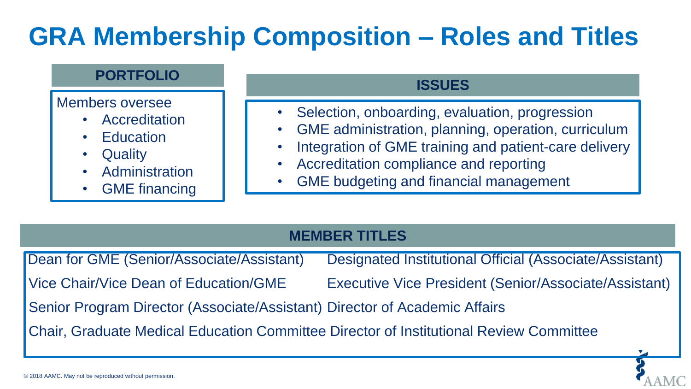# **GRA Membership Composition – Roles and Titles**

### **PORTFOLIO**

Members oversee

- **Accreditation**
- **Education**
- **Quality**
- **Administration**
- **GME** financing

## **ISSUES**

- Selection, onboarding, evaluation, progression
- GME administration, planning, operation, curriculum
- Integration of GME training and patient-care delivery
- Accreditation compliance and reporting
- GME budgeting and financial management

## **MEMBER TITLES**

Dean for GME (Senior/Associate/Assistant) Designated Institutional Official (Associate/Assistant) Vice Chair/Vice Dean of Education/GME Executive Vice President (Senior/Associate/Assistant) Senior Program Director (Associate/Assistant) Director of Academic Affairs Chair, Graduate Medical Education Committee Director of Institutional Review Committee

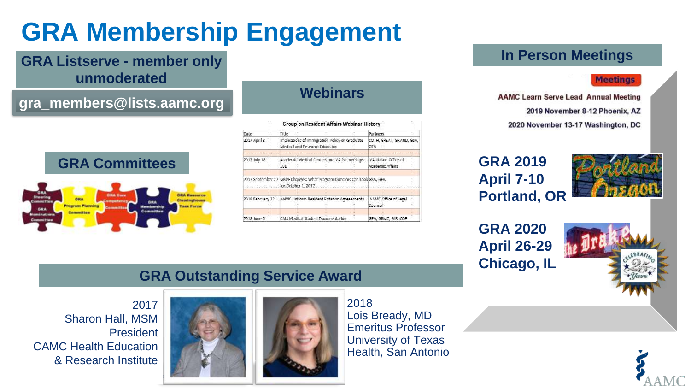# **GRA Membership Engagement**

## **GRA Listserve - member only unmoderated**

## **gra\_members@lists.aamc.org**



**GRA Committees**

### **Webinars**

|                                                                          |  |                                | Group on Resident Affairs Webinar History      |                                          |  |
|--------------------------------------------------------------------------|--|--------------------------------|------------------------------------------------|------------------------------------------|--|
| Date                                                                     |  | Title                          |                                                | Partners                                 |  |
| 2017 April 3                                                             |  | Medical and Research Education | Implications of Immigration Policy on Graduate | COTH, GREAT, GRAND, GSA<br>GEA           |  |
| 2017 July 18                                                             |  | 101                            | Academic Medical Centers and VA Partnerships:  | VA Liaison Office of<br>Academic Affairs |  |
|                                                                          |  |                                |                                                |                                          |  |
| 2017 September 27 MSPE Changes: What Program Directors Can LookIGSA, GEA |  | for October 1, 2017            |                                                |                                          |  |
|                                                                          |  |                                |                                                |                                          |  |
| 2018 February 22                                                         |  |                                | AAMC Uniform Resident Rotation Agreeements     | AAMC Office of Legal<br>Counsel          |  |
|                                                                          |  |                                |                                                |                                          |  |
| 2018 June 6                                                              |  |                                | CMS Medical Student Documentation              | GEA, GRMC, GIR, COF                      |  |

## **In Person Meetings**

#### **Meetings**

**AAMC Learn Serve Lead Annual Meeting** 2019 November 8-12 Phoenix, AZ

2020 November 13-17 Washington, DC

## **GRA 2019 April 7-10 Portland, OR**



**GRA 2020 April 26-29 Chicago, IL**



### **GRA Outstanding Service Award**

2017 Sharon Hall, MSM President CAMC Health Education & Research Institute





Lois Bready, MD Emeritus Professor University of Texas Health, San Antonio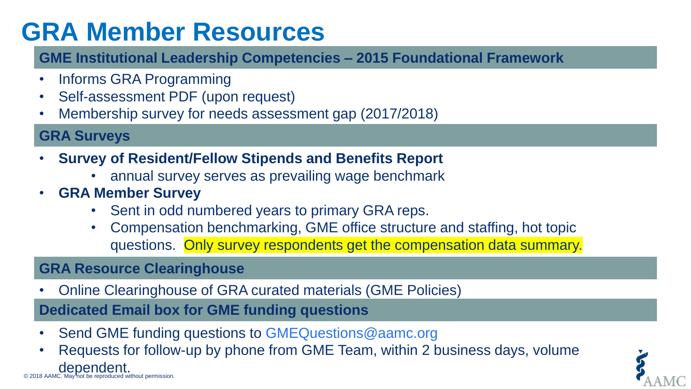# **GRA Member Resources**

## **GME Institutional Leadership Competencies – 2015 Foundational Framework**

- Informs GRA Programming
- Self-assessment PDF (upon request)
- Membership survey for needs assessment gap (2017/2018)

**GRA Surveys**

- **Survey of Resident/Fellow Stipends and Benefits Report** 
	- annual survey serves as prevailing wage benchmark
- **GRA Member Survey**
	- Sent in odd numbered years to primary GRA reps.
	- Compensation benchmarking, GME office structure and staffing, hot topic questions. Only survey respondents get the compensation data summary.

## **GRA Resource Clearinghouse**

• Online Clearinghouse of GRA curated materials (GME Policies)

**Dedicated Email box for GME funding questions**

- Send GME funding questions to GMEQuestions@aamc.org
- **dependent**<br>© 2018 AAMC. May not be reproduced without permission. • Requests for follow-up by phone from GME Team, within 2 business days, volume

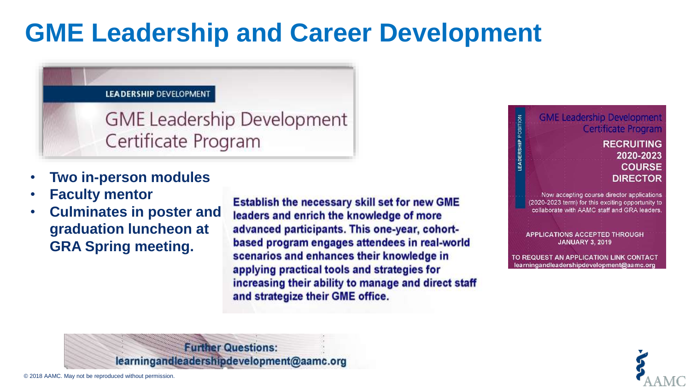# **GME Leadership and Career Development**

#### **LEADERSHIP DEVELOPMENT**

**GME Leadership Development** Certificate Program

- **Two in-person modules**
- **Faculty mentor**
- **Culminates in poster and graduation luncheon at GRA Spring meeting.**

**Establish the necessary skill set for new GME** leaders and enrich the knowledge of more advanced participants. This one-year, cohortbased program engages attendees in real-world scenarios and enhances their knowledge in applying practical tools and strategies for increasing their ability to manage and direct staff and strategize their GME office.



EADERSHIP POSITION

#### **RECRUITING** 2020-2023 **COURSE DIRECTOR**

Now accepting course director applications (2020-2023 term) for this exciting opportunity to collaborate with AAMC staff and GRA leaders.

**APPLICATIONS ACCEPTED THROUGH JANUARY 3, 2019** 

TO REQUEST AN APPLICATION LINK CONTACT learningandleadershipdevelopment@aamc.org



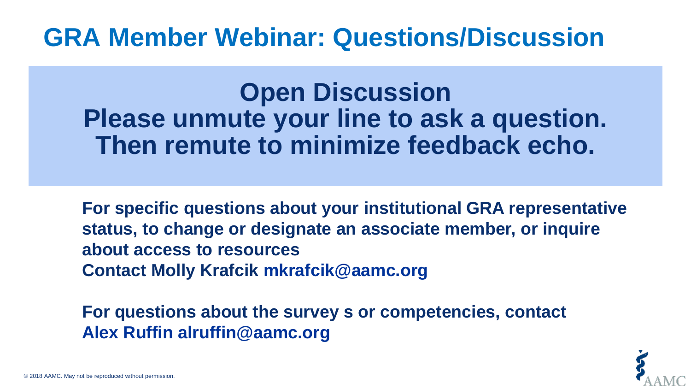## **GRA Member Webinar: Questions/Discussion**

**Open Discussion Please unmute your line to ask a question. Then remute to minimize feedback echo.**

**For specific questions about your institutional GRA representative status, to change or designate an associate member, or inquire about access to resources Contact Molly Krafcik mkrafcik@aamc.org** 

**For questions about the survey s or competencies, contact Alex Ruffin alruffin@aamc.org**